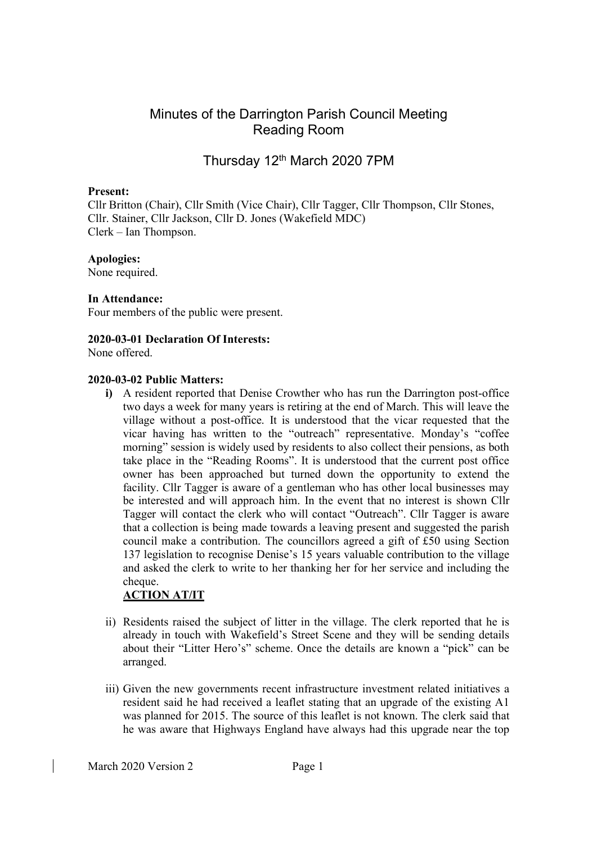# Minutes of the Darrington Parish Council Meeting Reading Room

# Thursday 12th March 2020 7PM

### Present:

Cllr Britton (Chair), Cllr Smith (Vice Chair), Cllr Tagger, Cllr Thompson, Cllr Stones, Cllr. Stainer, Cllr Jackson, Cllr D. Jones (Wakefield MDC) Clerk – Ian Thompson.

## Apologies:

None required.

#### In Attendance:

Four members of the public were present.

## 2020-03-01 Declaration Of Interests:

None offered.

## 2020-03-02 Public Matters:

i) A resident reported that Denise Crowther who has run the Darrington post-office two days a week for many years is retiring at the end of March. This will leave the village without a post-office. It is understood that the vicar requested that the vicar having has written to the "outreach" representative. Monday's "coffee morning" session is widely used by residents to also collect their pensions, as both take place in the "Reading Rooms". It is understood that the current post office owner has been approached but turned down the opportunity to extend the facility. Cllr Tagger is aware of a gentleman who has other local businesses may be interested and will approach him. In the event that no interest is shown Cllr Tagger will contact the clerk who will contact "Outreach". Cllr Tagger is aware that a collection is being made towards a leaving present and suggested the parish council make a contribution. The councillors agreed a gift of £50 using Section 137 legislation to recognise Denise's 15 years valuable contribution to the village and asked the clerk to write to her thanking her for her service and including the cheque.

## ACTION AT/IT

- ii) Residents raised the subject of litter in the village. The clerk reported that he is already in touch with Wakefield's Street Scene and they will be sending details about their "Litter Hero's" scheme. Once the details are known a "pick" can be arranged.
- iii) Given the new governments recent infrastructure investment related initiatives a resident said he had received a leaflet stating that an upgrade of the existing A1 was planned for 2015. The source of this leaflet is not known. The clerk said that he was aware that Highways England have always had this upgrade near the top

March 2020 Version 2 Page 1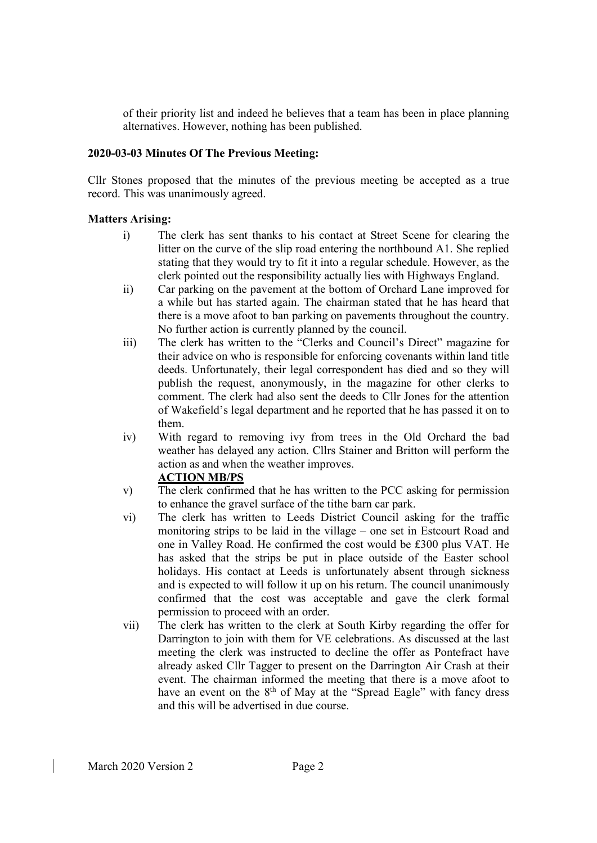of their priority list and indeed he believes that a team has been in place planning alternatives. However, nothing has been published.

## 2020-03-03 Minutes Of The Previous Meeting:

Cllr Stones proposed that the minutes of the previous meeting be accepted as a true record. This was unanimously agreed.

## Matters Arising:

- i) The clerk has sent thanks to his contact at Street Scene for clearing the litter on the curve of the slip road entering the northbound A1. She replied stating that they would try to fit it into a regular schedule. However, as the clerk pointed out the responsibility actually lies with Highways England.
- ii) Car parking on the pavement at the bottom of Orchard Lane improved for a while but has started again. The chairman stated that he has heard that there is a move afoot to ban parking on pavements throughout the country. No further action is currently planned by the council.
- iii) The clerk has written to the "Clerks and Council's Direct" magazine for their advice on who is responsible for enforcing covenants within land title deeds. Unfortunately, their legal correspondent has died and so they will publish the request, anonymously, in the magazine for other clerks to comment. The clerk had also sent the deeds to Cllr Jones for the attention of Wakefield's legal department and he reported that he has passed it on to them.
- iv) With regard to removing ivy from trees in the Old Orchard the bad weather has delayed any action. Cllrs Stainer and Britton will perform the action as and when the weather improves.

## ACTION MB/PS

- v) The clerk confirmed that he has written to the PCC asking for permission to enhance the gravel surface of the tithe barn car park.
- vi) The clerk has written to Leeds District Council asking for the traffic monitoring strips to be laid in the village – one set in Estcourt Road and one in Valley Road. He confirmed the cost would be £300 plus VAT. He has asked that the strips be put in place outside of the Easter school holidays. His contact at Leeds is unfortunately absent through sickness and is expected to will follow it up on his return. The council unanimously confirmed that the cost was acceptable and gave the clerk formal permission to proceed with an order.
- vii) The clerk has written to the clerk at South Kirby regarding the offer for Darrington to join with them for VE celebrations. As discussed at the last meeting the clerk was instructed to decline the offer as Pontefract have already asked Cllr Tagger to present on the Darrington Air Crash at their event. The chairman informed the meeting that there is a move afoot to have an event on the 8<sup>th</sup> of May at the "Spread Eagle" with fancy dress and this will be advertised in due course.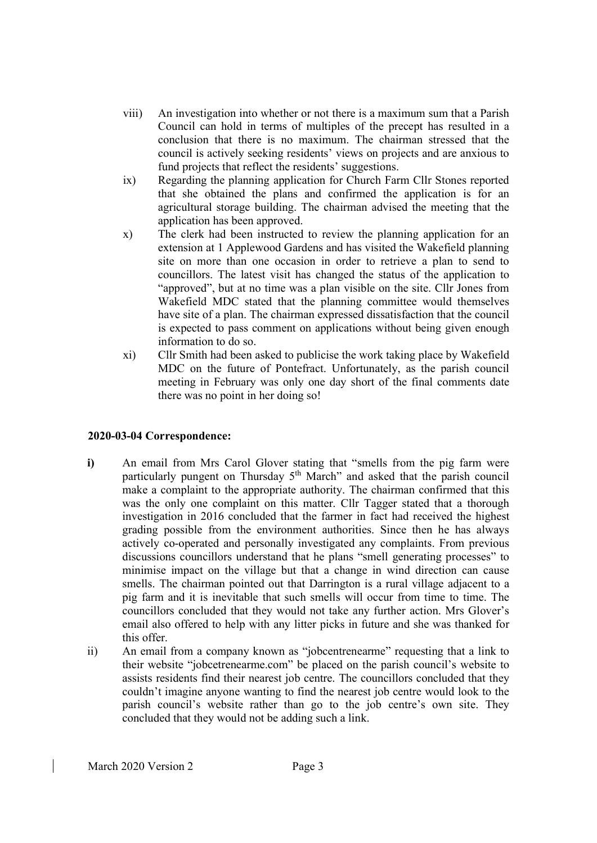- viii) An investigation into whether or not there is a maximum sum that a Parish Council can hold in terms of multiples of the precept has resulted in a conclusion that there is no maximum. The chairman stressed that the council is actively seeking residents' views on projects and are anxious to fund projects that reflect the residents' suggestions.
- ix) Regarding the planning application for Church Farm Cllr Stones reported that she obtained the plans and confirmed the application is for an agricultural storage building. The chairman advised the meeting that the application has been approved.
- x) The clerk had been instructed to review the planning application for an extension at 1 Applewood Gardens and has visited the Wakefield planning site on more than one occasion in order to retrieve a plan to send to councillors. The latest visit has changed the status of the application to "approved", but at no time was a plan visible on the site. Cllr Jones from Wakefield MDC stated that the planning committee would themselves have site of a plan. The chairman expressed dissatisfaction that the council is expected to pass comment on applications without being given enough information to do so.
- xi) Cllr Smith had been asked to publicise the work taking place by Wakefield MDC on the future of Pontefract. Unfortunately, as the parish council meeting in February was only one day short of the final comments date there was no point in her doing so!

# 2020-03-04 Correspondence:

- i) An email from Mrs Carol Glover stating that "smells from the pig farm were particularly pungent on Thursday 5<sup>th</sup> March" and asked that the parish council make a complaint to the appropriate authority. The chairman confirmed that this was the only one complaint on this matter. Cllr Tagger stated that a thorough investigation in 2016 concluded that the farmer in fact had received the highest grading possible from the environment authorities. Since then he has always actively co-operated and personally investigated any complaints. From previous discussions councillors understand that he plans "smell generating processes" to minimise impact on the village but that a change in wind direction can cause smells. The chairman pointed out that Darrington is a rural village adjacent to a pig farm and it is inevitable that such smells will occur from time to time. The councillors concluded that they would not take any further action. Mrs Glover's email also offered to help with any litter picks in future and she was thanked for this offer.
- ii) An email from a company known as "jobcentrenearme" requesting that a link to their website "jobcetrenearme.com" be placed on the parish council's website to assists residents find their nearest job centre. The councillors concluded that they couldn't imagine anyone wanting to find the nearest job centre would look to the parish council's website rather than go to the job centre's own site. They concluded that they would not be adding such a link.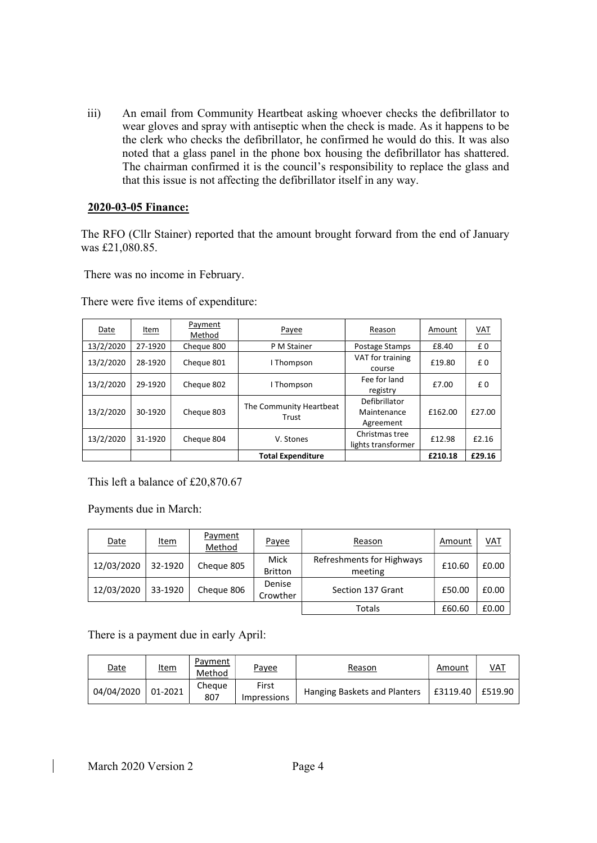iii) An email from Community Heartbeat asking whoever checks the defibrillator to wear gloves and spray with antiseptic when the check is made. As it happens to be the clerk who checks the defibrillator, he confirmed he would do this. It was also noted that a glass panel in the phone box housing the defibrillator has shattered. The chairman confirmed it is the council's responsibility to replace the glass and that this issue is not affecting the defibrillator itself in any way.

### 2020-03-05 Finance:

The RFO (Cllr Stainer) reported that the amount brought forward from the end of January was £21,080.85.

There was no income in February.

There were five items of expenditure:

| Date      | Item    | Payment<br>Method | Payee                            | Reason                                    | Amount  | <b>VAT</b> |
|-----------|---------|-------------------|----------------------------------|-------------------------------------------|---------|------------|
| 13/2/2020 | 27-1920 | Cheque 800        | P M Stainer                      | Postage Stamps                            | £8.40   | £0         |
| 13/2/2020 | 28-1920 | Cheque 801        | I Thompson                       | VAT for training<br>course                | £19.80  | £0         |
| 13/2/2020 | 29-1920 | Cheque 802        | I Thompson                       | Fee for land<br>registry                  | £7.00   | £0         |
| 13/2/2020 | 30-1920 | Cheque 803        | The Community Heartbeat<br>Trust | Defibrillator<br>Maintenance<br>Agreement | £162.00 | £27.00     |
| 13/2/2020 | 31-1920 | Cheque 804        | V. Stones                        | Christmas tree<br>lights transformer      | £12.98  | £2.16      |
|           |         |                   | <b>Total Expenditure</b>         |                                           | £210.18 | £29.16     |

This left a balance of £20,870.67

Payments due in March:

| <b>Date</b> | <u>Item</u> | <b>Payment</b><br>Method | Payee                         | Reason                               | Amount | $VAL$ |
|-------------|-------------|--------------------------|-------------------------------|--------------------------------------|--------|-------|
| 12/03/2020  | 32-1920     | Cheque 805               | <b>Mick</b><br><b>Britton</b> | Refreshments for Highways<br>meeting | £10.60 | £0.00 |
| 12/03/2020  | 33-1920     | Cheque 806               | Denise<br>Crowther            | Section 137 Grant                    | £50.00 | £0.00 |
|             |             |                          |                               | Totals                               | £60.60 | £0.00 |

There is a payment due in early April:

| <u>Date</u> | <u>Item</u> | Payment<br>Method | Payee                       | Reason                       | Amount   | $VAL$   |
|-------------|-------------|-------------------|-----------------------------|------------------------------|----------|---------|
| 04/04/2020  | 01-2021     | Cheaue<br>807     | First<br><i>Impressions</i> | Hanging Baskets and Planters | £3119.40 | £519.90 |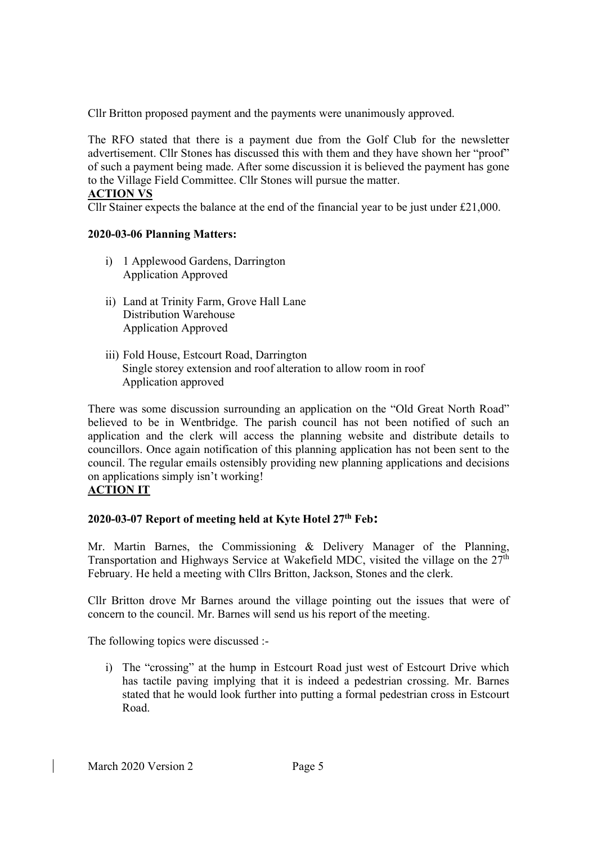Cllr Britton proposed payment and the payments were unanimously approved.

The RFO stated that there is a payment due from the Golf Club for the newsletter advertisement. Cllr Stones has discussed this with them and they have shown her "proof" of such a payment being made. After some discussion it is believed the payment has gone to the Village Field Committee. Cllr Stones will pursue the matter.

### ACTION VS

Cllr Stainer expects the balance at the end of the financial year to be just under  $£21,000$ .

## 2020-03-06 Planning Matters:

- i) 1 Applewood Gardens, Darrington Application Approved
- ii) Land at Trinity Farm, Grove Hall Lane Distribution Warehouse Application Approved
- iii) Fold House, Estcourt Road, Darrington Single storey extension and roof alteration to allow room in roof Application approved

There was some discussion surrounding an application on the "Old Great North Road" believed to be in Wentbridge. The parish council has not been notified of such an application and the clerk will access the planning website and distribute details to councillors. Once again notification of this planning application has not been sent to the council. The regular emails ostensibly providing new planning applications and decisions on applications simply isn't working!

## ACTION IT

# 2020-03-07 Report of meeting held at Kyte Hotel  $27<sup>th</sup>$  Feb:

Mr. Martin Barnes, the Commissioning & Delivery Manager of the Planning, Transportation and Highways Service at Wakefield MDC, visited the village on the  $27<sup>th</sup>$ February. He held a meeting with Cllrs Britton, Jackson, Stones and the clerk.

Cllr Britton drove Mr Barnes around the village pointing out the issues that were of concern to the council. Mr. Barnes will send us his report of the meeting.

The following topics were discussed :-

i) The "crossing" at the hump in Estcourt Road just west of Estcourt Drive which has tactile paving implying that it is indeed a pedestrian crossing. Mr. Barnes stated that he would look further into putting a formal pedestrian cross in Estcourt Road.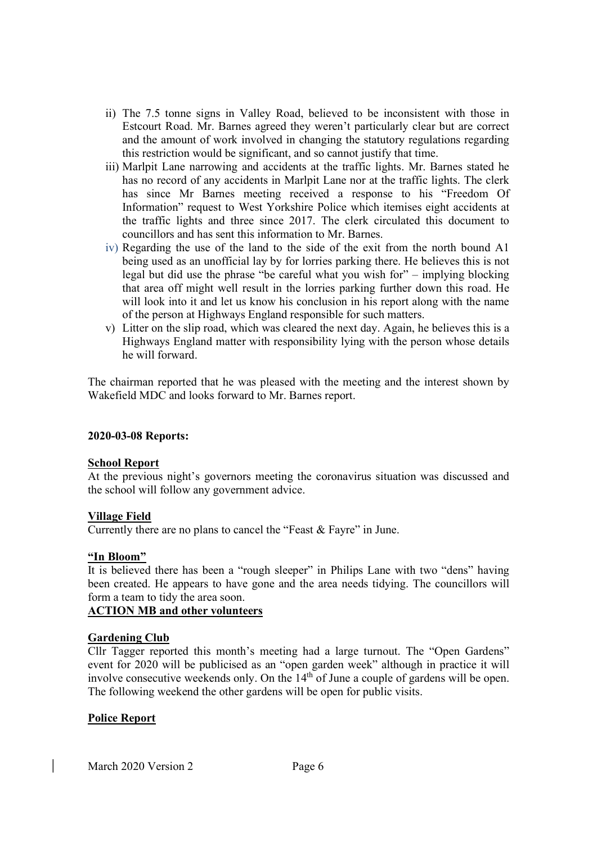- ii) The 7.5 tonne signs in Valley Road, believed to be inconsistent with those in Estcourt Road. Mr. Barnes agreed they weren't particularly clear but are correct and the amount of work involved in changing the statutory regulations regarding this restriction would be significant, and so cannot justify that time.
- iii) Marlpit Lane narrowing and accidents at the traffic lights. Mr. Barnes stated he has no record of any accidents in Marlpit Lane nor at the traffic lights. The clerk has since Mr Barnes meeting received a response to his "Freedom Of Information" request to West Yorkshire Police which itemises eight accidents at the traffic lights and three since 2017. The clerk circulated this document to councillors and has sent this information to Mr. Barnes.
- iv) Regarding the use of the land to the side of the exit from the north bound A1 being used as an unofficial lay by for lorries parking there. He believes this is not legal but did use the phrase "be careful what you wish for" – implying blocking that area off might well result in the lorries parking further down this road. He will look into it and let us know his conclusion in his report along with the name of the person at Highways England responsible for such matters.
- v) Litter on the slip road, which was cleared the next day. Again, he believes this is a Highways England matter with responsibility lying with the person whose details he will forward.

The chairman reported that he was pleased with the meeting and the interest shown by Wakefield MDC and looks forward to Mr. Barnes report.

## 2020-03-08 Reports:

#### School Report

At the previous night's governors meeting the coronavirus situation was discussed and the school will follow any government advice.

## Village Field

Currently there are no plans to cancel the "Feast & Fayre" in June.

## "In Bloom"

It is believed there has been a "rough sleeper" in Philips Lane with two "dens" having been created. He appears to have gone and the area needs tidying. The councillors will form a team to tidy the area soon.

## ACTION MB and other volunteers

## Gardening Club

Cllr Tagger reported this month's meeting had a large turnout. The "Open Gardens" event for 2020 will be publicised as an "open garden week" although in practice it will involve consecutive weekends only. On the 14<sup>th</sup> of June a couple of gardens will be open. The following weekend the other gardens will be open for public visits.

## Police Report